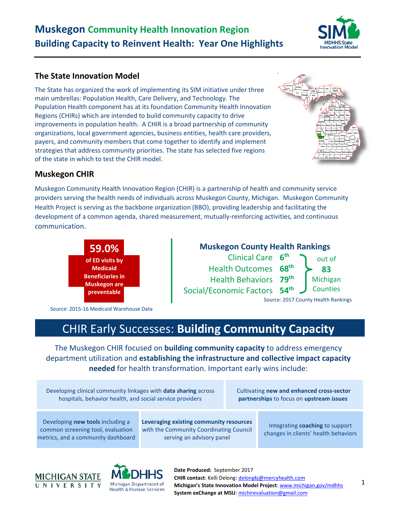## **Muskegon Community Health Innovation Region Building Capacity to Reinvent Health: Year One Highlights**



### **The State Innovation Model**

The State has organized the work of implementing its SIM initiative under three main umbrellas: Population Health, Care Delivery, and Technology. The Population Health component has at its foundation Community Health Innovation Regions (CHIRs) which are intended to build community capacity to drive improvements in population health. A CHIR is a broad partnership of community organizations, local government agencies, business entities, health care providers, payers, and community members that come together to identify and implement strategies that address community priorities. The state has selected five regions of the state in which to test the CHIR model.



### **Muskegon CHIR**

Muskegon Community Health Innovation Region (CHIR) is a partnership of health and community service providers serving the health needs of individuals across Muskegon County, Michigan. Muskegon Community Health Project is serving as the backbone organization (BBO), providing leadership and facilitating the development of a common agenda, shared measurement, mutually-reinforcing activities, and continuous communication.



Source: 2015-16 Medicaid Warehouse Data



# CHIR Early Successes: **Building Community Capacity**

The Muskegon CHIR focused on **building community capacity** to address emergency department utilization and **establishing the infrastructure and collective impact capacity needed** for health transformation. Important early wins include:

Developing clinical community linkages with **data sharing** across hospitals, behavior health, and social service providers

Cultivating **new and enhanced cross-sector partnerships** to focus on **upstream issues**

Developing **new tools** including a common screening tool, evaluation metrics, and a community dashboard **Leveraging existing community resources**  with the Community Coordinating Council serving an advisory panel

Integrating **coaching** to support changes in clients' health behaviors



Michigan Department of **Health & Human Services** 

**Date Produced:** September 2017 **CHIR contact**: Kelli Delong: [delongkj@mercyhealth.com](mailto:delongkj@mercyhealth.com) **Michigan's State Innovation Model Project**: [www.michigan.gov/mdhhs](http://www.michigan.gov/mdhhs) **System exChange at MSU**: [michirevaluation@gmail.com](mailto:michirevaluation@gmail.com)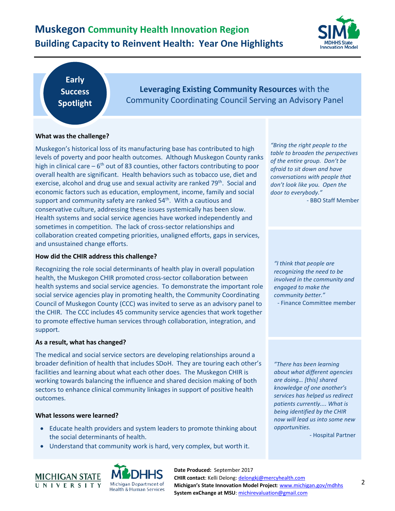## **Muskegon Community Health Innovation Region Building Capacity to Reinvent Health: Year One Highlights**



**Early Success Spotlight**

**Leveraging Existing Community Resources** with the Community Coordinating Council Serving an Advisory Panel

#### **What was the challenge?**

Muskegon's historical loss of its manufacturing base has contributed to high levels of poverty and poor health outcomes. Although Muskegon County ranks high in clinical care  $-6<sup>th</sup>$  out of 83 counties, other factors contributing to poor overall health are significant. Health behaviors such as tobacco use, diet and exercise, alcohol and drug use and sexual activity are ranked 79<sup>th</sup>. Social and economic factors such as education, employment, income, family and social support and community safety are ranked  $54<sup>th</sup>$ . With a cautious and conservative culture, addressing these issues systemically has been slow. Health systems and social service agencies have worked independently and sometimes in competition. The lack of cross-sector relationships and collaboration created competing priorities, unaligned efforts, gaps in services, and unsustained change efforts.

#### **How did the CHIR address this challenge?**

Recognizing the role social determinants of health play in overall population health, the Muskegon CHIR promoted cross-sector collaboration between health systems and social service agencies. To demonstrate the important role social service agencies play in promoting health, the Community Coordinating Council of Muskegon County (CCC) was invited to serve as an advisory panel to the CHIR. The CCC includes 45 community service agencies that work together to promote effective human services through collaboration, integration, and support.

#### **As a result, what has changed?**

The medical and social service sectors are developing relationships around a broader definition of health that includes SDoH. They are touring each other's facilities and learning about what each other does. The Muskegon CHIR is working towards balancing the influence and shared decision making of both sectors to enhance clinical community linkages in support of positive health outcomes.

#### **What lessons were learned?**

- Educate health providers and system leaders to promote thinking about the social determinants of health.
- Understand that community work is hard, very complex, but worth it.





**Date Produced:** September 2017 **CHIR contact**: Kelli Delong: [delongkj@mercyhealth.com](mailto:delongkj@mercyhealth.com) **Michigan's State Innovation Model Project**: [www.michigan.gov/mdhhs](http://www.michigan.gov/mdhhs) **System exChange at MSU**: [michirevaluation@gmail.com](mailto:michirevaluation@gmail.com)

*"Bring the right people to the table to broaden the perspectives of the entire group. Don't be afraid to sit down and have conversations with people that don't look like you. Open the door to everybody."* - BBO Staff Member

*"I think that people are recognizing the need to be involved in the community and engaged to make the community better."*

- Finance Committee member

*"There has been learning about what different agencies are doing… [this] shared knowledge of one another's services has helped us redirect patients currently.... What is being identified by the CHIR now will lead us into some new opportunities.*

- Hospital Partner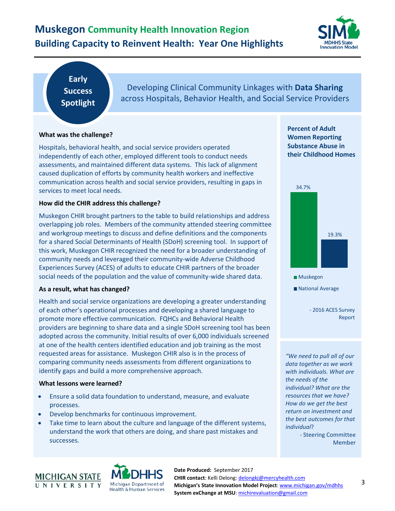## **Muskegon Community Health Innovation Region Building Capacity to Reinvent Health: Year One Highlights**



## **Early Success Spotlight**

Developing Clinical Community Linkages with **Data Sharing** across Hospitals, Behavior Health, and Social Service Providers

#### **What was the challenge?**

Hospitals, behavioral health, and social service providers operated independently of each other, employed different tools to conduct needs assessments, and maintained different data systems. This lack of alignment caused duplication of efforts by community health workers and ineffective communication across health and social service providers, resulting in gaps in services to meet local needs.

#### **How did the CHIR address this challenge?**

Muskegon CHIR brought partners to the table to build relationships and address overlapping job roles. Members of the community attended steering committee and workgroup meetings to discuss and define definitions and the components for a shared Social Determinants of Health (SDoH) screening tool. In support of this work, Muskegon CHIR recognized the need for a broader understanding of community needs and leveraged their community-wide Adverse Childhood Experiences Survey (ACES) of adults to educate CHIR partners of the broader social needs of the population and the value of community-wide shared data.

#### **As a result, what has changed?**

Health and social service organizations are developing a greater understanding of each other's operational processes and developing a shared language to promote more effective communication. FQHCs and Behavioral Health providers are beginning to share data and a single SDoH screening tool has been adopted across the community. Initial results of over 6,000 individuals screened at one of the health centers identified education and job training as the most requested areas for assistance. Muskegon CHIR also is in the process of comparing community needs assessments from different organizations to identify gaps and build a more comprehensive approach.

#### **What lessons were learned?**

- Ensure a solid data foundation to understand, measure, and evaluate processes.
- Develop benchmarks for continuous improvement.
- Take time to learn about the culture and language of the different systems, understand the work that others are doing, and share past mistakes and successes.

**Percent of Adult Women Reporting Substance Abuse in their Childhood Homes**



- 2016 ACES Survey National Average

Report

*"We need to pull all of our data together as we work with individuals. What are the needs of the individual? What are the resources that we have? How do we get the best return on investment and the best outcomes for that individual*?

- Steering Committee Member



**Date Produced:** September 2017 **CHIR contact**: Kelli Delong: [delongkj@mercyhealth.com](mailto:delongkj@mercyhealth.com) **Michigan's State Innovation Model Project**: [www.michigan.gov/mdhhs](http://www.michigan.gov/mdhhs) **System exChange at MSU**: [michirevaluation@gmail.com](mailto:michirevaluation@gmail.com)